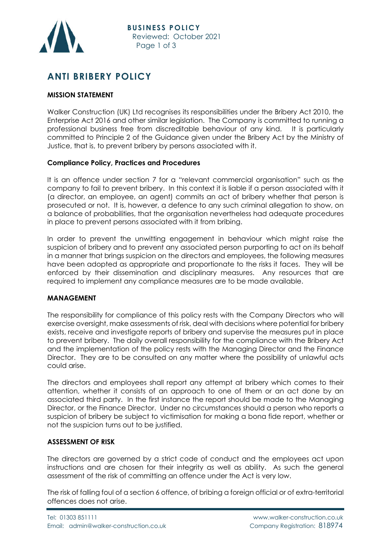

# **ANTI BRIBERY POLICY**

# **MISSION STATEMENT**

Walker Construction (UK) Ltd recognises its responsibilities under the Bribery Act 2010, the Enterprise Act 2016 and other similar legislation. The Company is committed to running a professional business free from discreditable behaviour of any kind. It is particularly committed to Principle 2 of the Guidance given under the Bribery Act by the Ministry of Justice, that is, to prevent bribery by persons associated with it.

### **Compliance Policy, Practices and Procedures**

It is an offence under section 7 for a "relevant commercial organisation" such as the company to fail to prevent bribery. In this context it is liable if a person associated with it (a director, an employee, an agent) commits an act of bribery whether that person is prosecuted or not. It is, however, a defence to any such criminal allegation to show, on a balance of probabilities, that the organisation nevertheless had adequate procedures in place to prevent persons associated with it from bribing.

In order to prevent the unwitting engagement in behaviour which might raise the suspicion of bribery and to prevent any associated person purporting to act on its behalf in a manner that brings suspicion on the directors and employees, the following measures have been adopted as appropriate and proportionate to the risks it faces. They will be enforced by their dissemination and disciplinary measures. Any resources that are required to implement any compliance measures are to be made available.

### **MANAGEMENT**

The responsibility for compliance of this policy rests with the Company Directors who will exercise oversight, make assessments of risk, deal with decisions where potential for bribery exists, receive and investigate reports of bribery and supervise the measures put in place to prevent bribery. The daily overall responsibility for the compliance with the Bribery Act and the implementation of the policy rests with the Managing Director and the Finance Director. They are to be consulted on any matter where the possibility of unlawful acts could arise.

The directors and employees shall report any attempt at bribery which comes to their attention, whether it consists of an approach to one of them or an act done by an associated third party. In the first instance the report should be made to the Managing Director, or the Finance Director. Under no circumstances should a person who reports a suspicion of bribery be subject to victimisation for making a bona fide report, whether or not the suspicion turns out to be justified.

### **ASSESSMENT OF RISK**

The directors are governed by a strict code of conduct and the employees act upon instructions and are chosen for their integrity as well as ability. As such the general assessment of the risk of committing an offence under the Act is very low.

The risk of falling foul of a section 6 offence, of bribing a foreign official or of extra-territorial offences does not arise.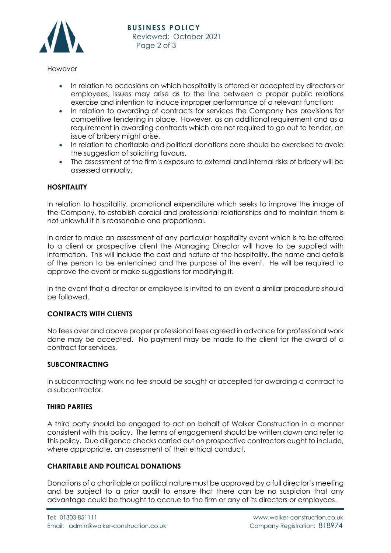

However

- In relation to occasions on which hospitality is offered or accepted by directors or employees, issues may arise as to the line between a proper public relations exercise and intention to induce improper performance of a relevant function;
- In relation to awarding of contracts for services the Company has provisions for competitive tendering in place. However, as an additional requirement and as a requirement in awarding contracts which are not required to go out to tender, an issue of bribery might arise.
- In relation to charitable and political donations care should be exercised to avoid the suggestion of soliciting favours.
- The assessment of the firm's exposure to external and internal risks of bribery will be assessed annually.

## **HOSPITALITY**

In relation to hospitality, promotional expenditure which seeks to improve the image of the Company, to establish cordial and professional relationships and to maintain them is not unlawful if it is reasonable and proportional.

In order to make an assessment of any particular hospitality event which is to be offered to a client or prospective client the Managing Director will have to be supplied with information. This will include the cost and nature of the hospitality, the name and details of the person to be entertained and the purpose of the event. He will be required to approve the event or make suggestions for modifying it.

In the event that a director or employee is invited to an event a similar procedure should be followed.

### **CONTRACTS WITH CLIENTS**

No fees over and above proper professional fees agreed in advance for professional work done may be accepted. No payment may be made to the client for the award of a contract for services.

### **SUBCONTRACTING**

In subcontracting work no fee should be sought or accepted for awarding a contract to a subcontractor.

#### **THIRD PARTIES**

A third party should be engaged to act on behalf of Walker Construction in a manner consistent with this policy. The terms of engagement should be written down and refer to this policy. Due diligence checks carried out on prospective contractors ought to include, where appropriate, an assessment of their ethical conduct.

#### **CHARITABLE AND POLITICAL DONATIONS**

Donations of a charitable or political nature must be approved by a full director's meeting and be subject to a prior audit to ensure that there can be no suspicion that any advantage could be thought to accrue to the firm or any of its directors or employees.